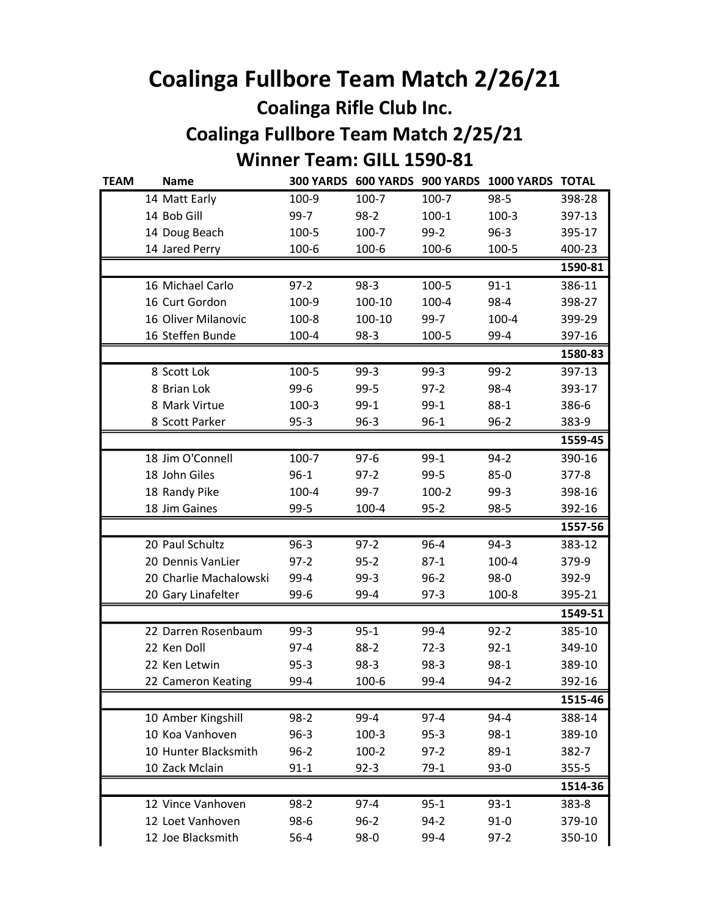## Coalinga Fullbore Team Match 2/26/21 Coalinga Rifle Club Inc. Coalinga Fullbore Team Match 2/25/21

## Winner Team: GILL 1590-81

| <b>TEAM</b> | <b>Name</b>            |          |          |           | 300 YARDS 600 YARDS 900 YARDS 1000 YARDS TOTAL |           |
|-------------|------------------------|----------|----------|-----------|------------------------------------------------|-----------|
|             | 14 Matt Early          | 100-9    | 100-7    | 100-7     | $98 - 5$                                       | 398-28    |
|             | 14 Bob Gill            | 99-7     | $98-2$   | $100-1$   | $100-3$                                        | 397-13    |
|             | 14 Doug Beach          | 100-5    | 100-7    | $99-2$    | $96 - 3$                                       | 395-17    |
|             | 14 Jared Perry         | 100-6    | 100-6    | 100-6     | 100-5                                          | 400-23    |
|             |                        |          |          |           |                                                | 1590-81   |
|             | 16 Michael Carlo       | $97 - 2$ | $98-3$   | 100-5     | $91 - 1$                                       | 386-11    |
|             | 16 Curt Gordon         | 100-9    | 100-10   | $100 - 4$ | 98-4                                           | 398-27    |
|             | 16 Oliver Milanovic    | 100-8    | 100-10   | $99-7$    | 100-4                                          | 399-29    |
|             | 16 Steffen Bunde       | 100-4    | $98-3$   | 100-5     | 99-4                                           | 397-16    |
|             |                        |          |          |           |                                                | 1580-83   |
|             | 8 Scott Lok            | 100-5    | $99-3$   | $99-3$    | $99 - 2$                                       | 397-13    |
|             | 8 Brian Lok            | $99-6$   | $99 - 5$ | $97 - 2$  | 98-4                                           | 393-17    |
|             | 8 Mark Virtue          | $100-3$  | $99-1$   | $99-1$    | $88 - 1$                                       | 386-6     |
|             | 8 Scott Parker         | $95 - 3$ | $96 - 3$ | $96 - 1$  | $96 - 2$                                       | 383-9     |
|             |                        |          |          |           |                                                | 1559-45   |
|             | 18 Jim O'Connell       | 100-7    | $97 - 6$ | $99-1$    | $94 - 2$                                       | 390-16    |
|             | 18 John Giles          | $96 - 1$ | $97-2$   | $99 - 5$  | $85-0$                                         | $377 - 8$ |
|             | 18 Randy Pike          | 100-4    | 99-7     | $100-2$   | $99-3$                                         | 398-16    |
|             | 18 Jim Gaines          | $99 - 5$ | 100-4    | $95 - 2$  | $98 - 5$                                       | 392-16    |
|             |                        |          |          |           |                                                | 1557-56   |
|             | 20 Paul Schultz        | $96 - 3$ | $97-2$   | $96 - 4$  | $94-3$                                         | 383-12    |
|             | 20 Dennis VanLier      | $97 - 2$ | $95 - 2$ | $87-1$    | 100-4                                          | 379-9     |
|             | 20 Charlie Machalowski | 99-4     | $99-3$   | $96 - 2$  | $98-0$                                         | 392-9     |
|             | 20 Gary Linafelter     | $99-6$   | 99-4     | $97-3$    | 100-8                                          | 395-21    |
|             |                        |          |          |           |                                                | 1549-51   |
|             | 22 Darren Rosenbaum    | $99-3$   | $95 - 1$ | 99-4      | $92 - 2$                                       | 385-10    |
|             | 22 Ken Doll            | $97 - 4$ | $88-2$   | $72-3$    | $92 - 1$                                       | 349-10    |
|             | 22 Ken Letwin          | $95 - 3$ | $98-3$   | $98-3$    | $98-1$                                         | 389-10    |
|             | 22 Cameron Keating     | 99-4     | 100-6    | 99-4      | $94 - 2$                                       | 392-16    |
|             |                        |          |          |           |                                                | 1515-46   |
|             | 10 Amber Kingshill     | $98-2$   | 99-4     | $97 - 4$  | $94 - 4$                                       | 388-14    |
|             | 10 Koa Vanhoven        | $96 - 3$ | $100-3$  | $95 - 3$  | $98 - 1$                                       | 389-10    |
|             | 10 Hunter Blacksmith   | $96 - 2$ | $100-2$  | $97 - 2$  | $89-1$                                         | 382-7     |
|             | 10 Zack Mclain         | $91 - 1$ | $92 - 3$ | $79-1$    | $93-0$                                         | $355 - 5$ |
|             |                        |          |          |           |                                                | 1514-36   |
|             | 12 Vince Vanhoven      | $98-2$   | $97 - 4$ | $95 - 1$  | $93 - 1$                                       | 383-8     |
|             | 12 Loet Vanhoven       | $98-6$   | $96 - 2$ | $94 - 2$  | $91 - 0$                                       | 379-10    |
|             | 12 Joe Blacksmith      | $56 - 4$ | $98-0$   | 99-4      | $97 - 2$                                       | 350-10    |